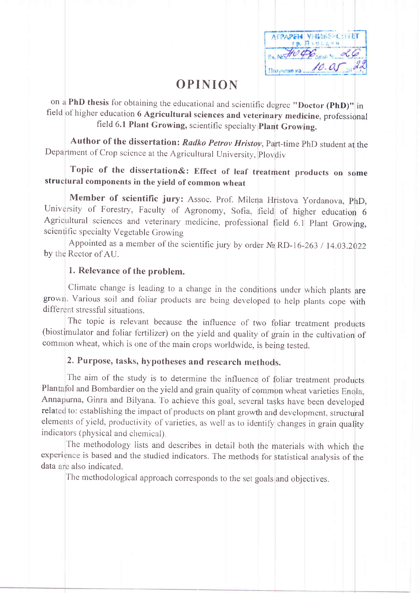AFPAPEN VHINEE-COTEET rp. Riversen Ex Note of Sea 26 Hommeye Ha 10. av a

# **OPINION**

on a PhD thesis for obtaining the educational and scientific degree "Doctor (PhD)" in field of higher education 6 Agricultural sciences and veterinary medicine, professional field 6.1 Plant Growing, scientific specialty Plant Growing.

Author of the dissertation: Radko Petrov Hristov, Part-time PhD student at the Department of Crop science at the Agricultural University, Plovdiv

# Topic of the dissertation&: Effect of leaf treatment products on some structural components in the yield of common wheat

Member of scientific jury: Assoc. Prof. Milena Hristova Yordanova, PhD, University of Forestry, Faculty of Agronomy, Sofia, field of higher education 6 Agricultural sciences and veterinary medicine, professional field 6.1 Plant Growing, scientific specialty Vegetable Growing

Appointed as a member of the scientific jury by order  $N_2$  RD-16-263 / 14.03.2022 by the Rector of AU.

### 1. Relevance of the problem.

Climate change is leading to a change in the conditions under which plants are grown. Various soil and foliar products are being developed to help plants cope with different stressful situations.

The topic is relevant because the influence of two foliar treatment products (biostimulator and foliar fertilizer) on the yield and quality of grain in the cultivation of common wheat, which is one of the main crops worldwide, is being tested.

# 2. Purpose, tasks, hypotheses and research methods.

The aim of the study is to determine the influence of foliar treatment products Plantafol and Bombardier on the yield and grain quality of common wheat varieties Enola, Annapurna, Ginra and Bilyana. To achieve this goal, several tasks have been developed related to: establishing the impact of products on plant growth and development, structural elements of yield, productivity of varieties, as well as to identify changes in grain quality indicators (physical and chemical).

The methodology lists and describes in detail both the materials with which the experience is based and the studied indicators. The methods for statistical analysis of the data are also indicated.

The methodological approach corresponds to the set goals and objectives.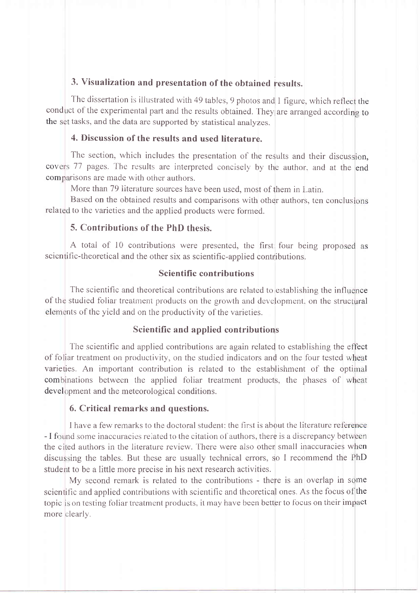### 3. Visualization and presentation of the obtained results.

The dissertation is illustrated with 49 tables, 9 photos and 1 figure, which reflect the conduct of the experimental part and the results obtained. They are arranged according to the set tasks, and the data are supported by statistical analyzes.

#### 4. Discussion of the results and used literature.

The section, which includes the presentation of the results and their discussion, covers 77 pages. The results are interpreted concisely by the author, and at the end comparisons are made with other authors.

More than 79 literature sources have been used, most of them in Latin.

Based on the obtained results and comparisons with other authors, ten conclusions related to the varieties and the applied products were formed.

# 5. Contributions of the PhD thesis.

A total of 10 contributions were presented, the first four being proposed as scientific-theoretical and the other six as scientific-applied contributions.

#### **Scientific contributions**

The scientific and theoretical contributions are related to establishing the influence of the studied foliar treatment products on the growth and development, on the structural elements of the yield and on the productivity of the varieties.

#### Scientific and applied contributions

The scientific and applied contributions are again related to establishing the effect of foliar treatment on productivity, on the studied indicators and on the four tested wheat varieties. An important contribution is related to the establishment of the optimal combinations between the applied foliar treatment products, the phases of wheat development and the meteorological conditions.

#### 6. Critical remarks and questions.

I have a few remarks to the doctoral student: the first is about the literature reference - I found some inaccuracies related to the citation of authors, there is a discrepancy between the cited authors in the literature review. There were also other small inaccuracies when discussing the tables. But these are usually technical errors, so I recommend the PhD student to be a little more precise in his next research activities.

My second remark is related to the contributions - there is an overlap in some scientific and applied contributions with scientific and theoretical ones. As the focus of the topic is on testing foliar treatment products, it may have been better to focus on their impact more clearly.